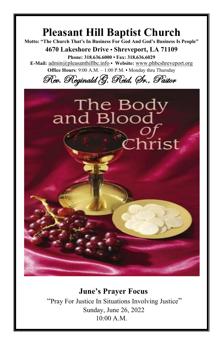# **Pleasant Hill Baptist Church Motto: "The Church That's In Business For God And God's Business Is People" 4670 Lakeshore Drive • Shreveport, LA 71109 Phone: 318.636.6000 • Fax: 318.636.6029 E-Mail:** [admin@pleasanthillbc.info](mailto:admin@pleasanthillbc.info) **• Website:** [www.phbcshreveport.org](http://www.phbcshreveport.org/) **Office Hours**: 9:00 A.M. – 1:00 P.M. **•** Monday thru Thursday Rev. Reginald G. Reid, Sr., Pastor The Body<br>and Blood Christ

#### **June's Prayer Focus**

"Pray For Justice In Situations Involving Justice" Sunday, June 26, 2022 10:00 A.M.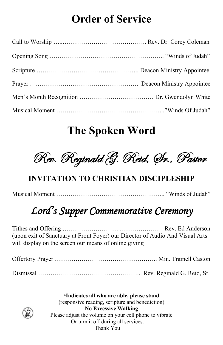## **Order of Service**

### **The Spoken Word**

Rev. Reginald G. Reid, Sr., Pastor

#### **INVITATION TO CHRISTIAN DISCIPLESHIP**

Musical Moment …………………………………………….. "Winds of Judah"

## *Lord's Supper Commemorative Ceremony*

Tithes and Offering ……………………… ………………… Rev. Ed Anderson (upon exit of Sanctuary at Front Foyer) our Director of Audio And Visual Arts will display on the screen our means of online giving

Offertory Prayer ………………………………………….. Min. Tramell Caston Dismissal …………………………………………... Rev. Reginald G. Reid, Sr.

\***Indicates all who are able, please stand** (responsive reading, scripture and benediction) **- No Excessive Walking -** Please adjust the volume on your cell phone to vibrate Or turn it off during all services. Thank You